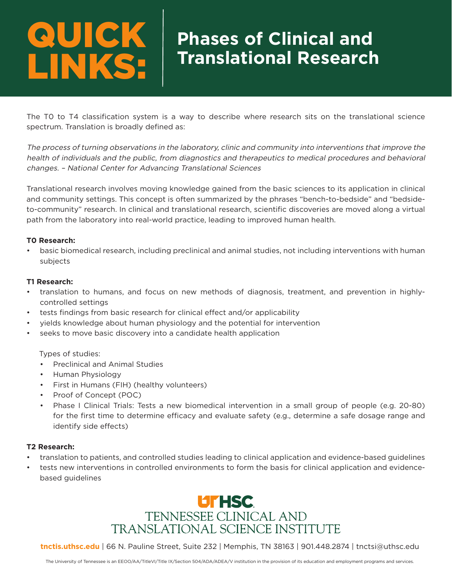### **Phases of Clinical and Translational Research** QUICK LINKS:

The T0 to T4 classification system is a way to describe where research sits on the translational science spectrum. Translation is broadly defined as:

The process of turning observations in the laboratory, clinic and community into interventions that improve the health of individuals and the public, from diagnostics and therapeutics to medical procedures and behavioral changes. – National Center for Advancing Translational Sciences

Translational research involves moving knowledge gained from the basic sciences to its application in clinical and community settings. This concept is often summarized by the phrases "bench-to-bedside" and "bedsideto-community" research. In clinical and translational research, scientific discoveries are moved along a virtual path from the laboratory into real-world practice, leading to improved human health.

### **T0 Research:**

• basic biomedical research, including preclinical and animal studies, not including interventions with human subjects

### **T1 Research:**

- translation to humans, and focus on new methods of diagnosis, treatment, and prevention in highlycontrolled settings
- tests findings from basic research for clinical effect and/or applicability
- yields knowledge about human physiology and the potential for intervention
- seeks to move basic discovery into a candidate health application

### Types of studies:

- Preclinical and Animal Studies
- Human Physiology
- First in Humans (FIH) (healthy volunteers)
- Proof of Concept (POC)
- Phase I Clinical Trials: Tests a new biomedical intervention in a small group of people (e.g. 20-80) for the first time to determine efficacy and evaluate safety (e.g., determine a safe dosage range and identify side effects)

### **T2 Research:**

- translation to patients, and controlled studies leading to clinical application and evidence-based guidelines
- tests new interventions in controlled environments to form the basis for clinical application and evidencebased guidelines



**tnctis.uthsc.edu** | 66 N. Pauline Street, Suite 232 | Memphis, TN 38163 | 901.448.2874 | tnctsi@uthsc.edu